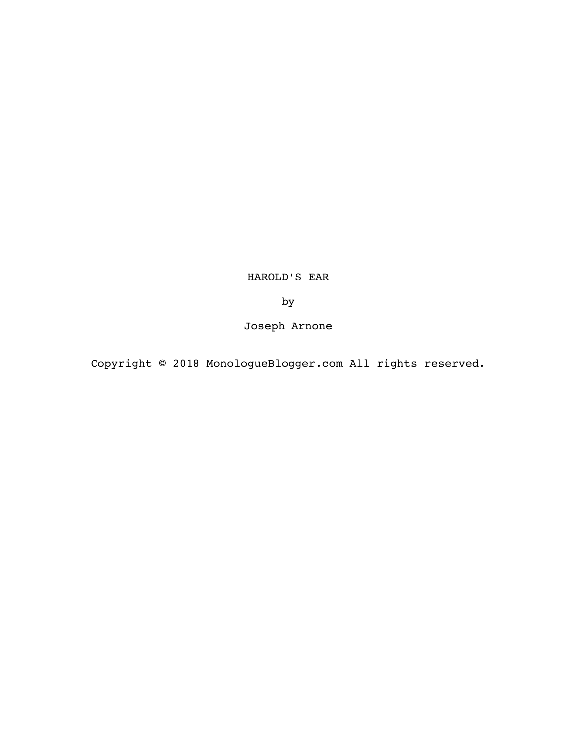HAROLD'S EAR

by

Joseph Arnone

Copyright © 2018 MonologueBlogger.com All rights reserved.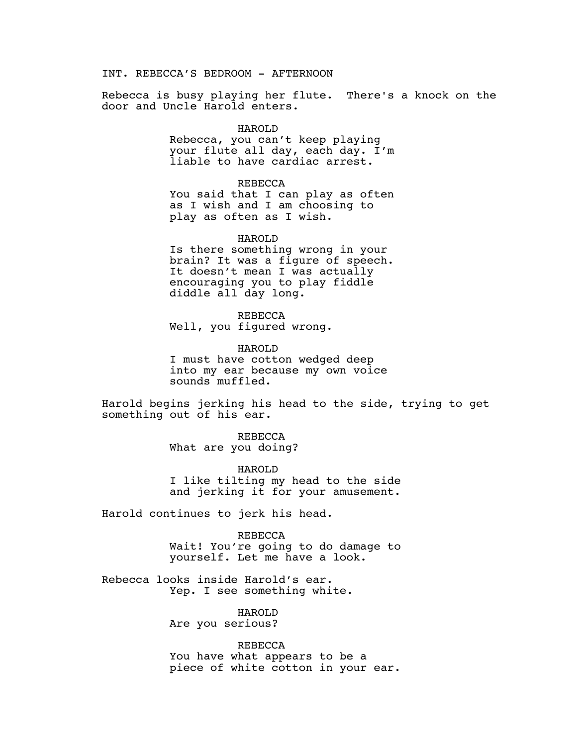INT. REBECCA'S BEDROOM - AFTERNOON

Rebecca is busy playing her flute. There's a knock on the door and Uncle Harold enters.

## HAROLD

Rebecca, you can't keep playing your flute all day, each day. I'm liable to have cardiac arrest.

## REBECCA

You said that I can play as often as I wish and I am choosing to play as often as I wish.

## HAROLD

Is there something wrong in your brain? It was a figure of speech. It doesn't mean I was actually encouraging you to play fiddle diddle all day long.

REBECCA Well, you figured wrong.

HAROLD I must have cotton wedged deep into my ear because my own voice sounds muffled.

Harold begins jerking his head to the side, trying to get something out of his ear.

> REBECCA What are you doing?

HAROLD I like tilting my head to the side and jerking it for your amusement.

Harold continues to jerk his head.

REBECCA Wait! You're going to do damage to yourself. Let me have a look.

Rebecca looks inside Harold's ear. Yep. I see something white.

> HAROLD Are you serious?

REBECCA You have what appears to be a piece of white cotton in your ear.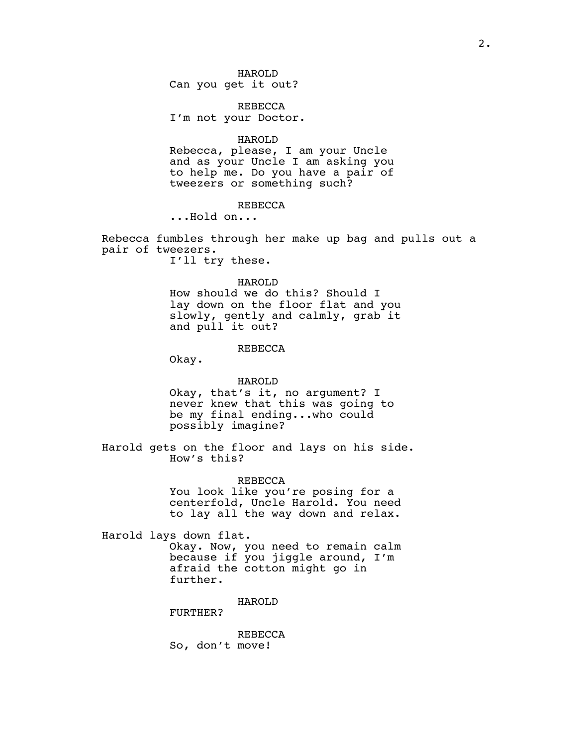REBECCA

I'm not your Doctor.

### HAROLD

Rebecca, please, I am your Uncle and as your Uncle I am asking you to help me. Do you have a pair of tweezers or something such?

### REBECCA

...Hold on...

Rebecca fumbles through her make up bag and pulls out a pair of tweezers.

I'll try these.

## HAROLD

How should we do this? Should I lay down on the floor flat and you slowly, gently and calmly, grab it and pull it out?

# REBECCA

Okay.

# HAROLD

Okay, that's it, no argument? I never knew that this was going to be my final ending...who could possibly imagine?

Harold gets on the floor and lays on his side. How's this?

## REBECCA

You look like you're posing for a centerfold, Uncle Harold. You need to lay all the way down and relax.

Harold lays down flat.

Okay. Now, you need to remain calm because if you jiggle around, I'm afraid the cotton might go in further.

HAROLD

FURTHER?

REBECCA So, don't move!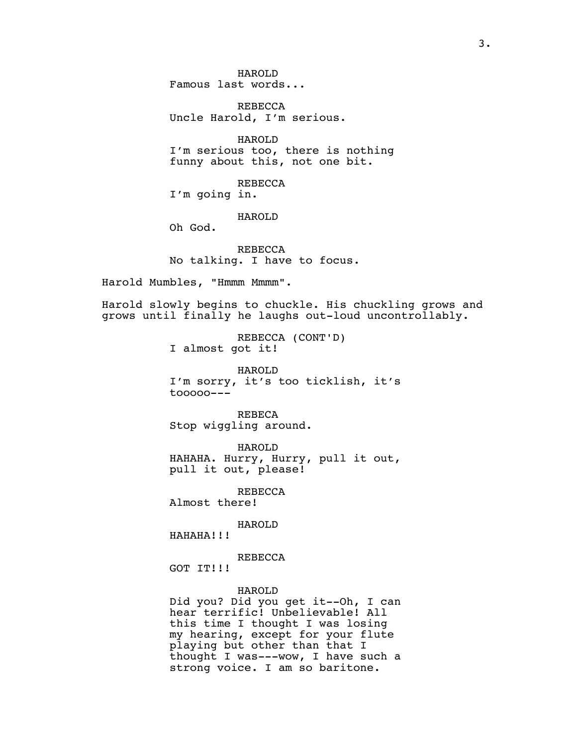HAROLD Famous last words...

REBECCA Uncle Harold, I'm serious.

HAROLD I'm serious too, there is nothing funny about this, not one bit.

REBECCA I'm going in.

HAROLD

REBECCA No talking. I have to focus.

Harold Mumbles, "Hmmm Mmmm".

Oh God.

Harold slowly begins to chuckle. His chuckling grows and grows until finally he laughs out-loud uncontrollably.

> REBECCA (CONT'D) I almost got it!

HAROLD I'm sorry, it's too ticklish, it's tooooo---

REBECA Stop wiggling around.

HAROLD HAHAHA. Hurry, Hurry, pull it out, pull it out, please!

REBECCA Almost there!

HAROLD

HAHAHA!!!

REBECCA

GOT IT!!!

# HAROLD

Did you? Did you get it--Oh, I can hear terrific! Unbelievable! All this time I thought I was losing my hearing, except for your flute playing but other than that I thought I was---wow, I have such a strong voice. I am so baritone.